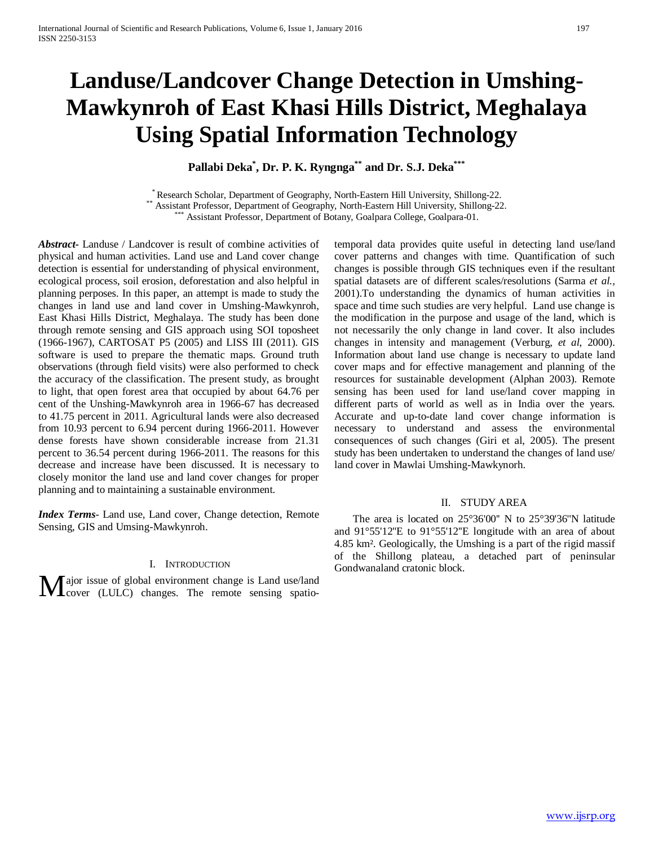# **Landuse/Landcover Change Detection in Umshing-Mawkynroh of East Khasi Hills District, Meghalaya Using Spatial Information Technology**

**Pallabi Deka\* , Dr. P. K. Ryngnga\*\* and Dr. S.J. Deka\*\*\***

\* Research Scholar, Department of Geography, North-Eastern Hill University, Shillong-22.<br>\*\* Assistant Professor, Department of Geography, North-Eastern Hill University, Shillong-22.<br>\*\*\* Assistant Professor, Department of B

*Abstract***-** Landuse / Landcover is result of combine activities of physical and human activities. Land use and Land cover change detection is essential for understanding of physical environment, ecological process, soil erosion, deforestation and also helpful in planning perposes. In this paper, an attempt is made to study the changes in land use and land cover in Umshing-Mawkynroh, East Khasi Hills District, Meghalaya. The study has been done through remote sensing and GIS approach using SOI toposheet (1966-1967), CARTOSAT P5 (2005) and LISS III (2011). GIS software is used to prepare the thematic maps. Ground truth observations (through field visits) were also performed to check the accuracy of the classification. The present study, as brought to light, that open forest area that occupied by about 64.76 per cent of the Unshing-Mawkynroh area in 1966-67 has decreased to 41.75 percent in 2011. Agricultural lands were also decreased from 10.93 percent to 6.94 percent during 1966-2011. However dense forests have shown considerable increase from 21.31 percent to 36.54 percent during 1966-2011. The reasons for this decrease and increase have been discussed. It is necessary to closely monitor the land use and land cover changes for proper planning and to maintaining a sustainable environment.

*Index Terms*- Land use, Land cover, Change detection, Remote Sensing, GIS and Umsing-Mawkynroh.

#### I. INTRODUCTION

ajor issue of global environment change is Land use/land Major issue of global environment change is Land use/land cover (LULC) changes. The remote sensing spatiotemporal data provides quite useful in detecting land use/land cover patterns and changes with time. Quantification of such changes is possible through GIS techniques even if the resultant spatial datasets are of different scales/resolutions (Sarma *et al.,*  2001).To understanding the dynamics of human activities in space and time such studies are very helpful. Land use change is the modification in the purpose and usage of the land, which is not necessarily the only change in land cover. It also includes changes in intensity and management (Verburg, *et al*, 2000). Information about land use change is necessary to update land cover maps and for effective management and planning of the resources for sustainable development (Alphan 2003). Remote sensing has been used for land use/land cover mapping in different parts of world as well as in India over the years. Accurate and up-to-date land cover change information is necessary to understand and assess the environmental consequences of such changes (Giri et al, 2005). The present study has been undertaken to understand the changes of land use/ land cover in Mawlai Umshing-Mawkynorh.

#### II. STUDY AREA

 The area is located on 25°36'00'' N to 25°39'36''N latitude and 91°55'12''E to 91°55'12''E longitude with an area of about 4.85 km². Geologically, the Umshing is a part of the rigid massif of the Shillong plateau, a detached part of peninsular Gondwanaland cratonic block.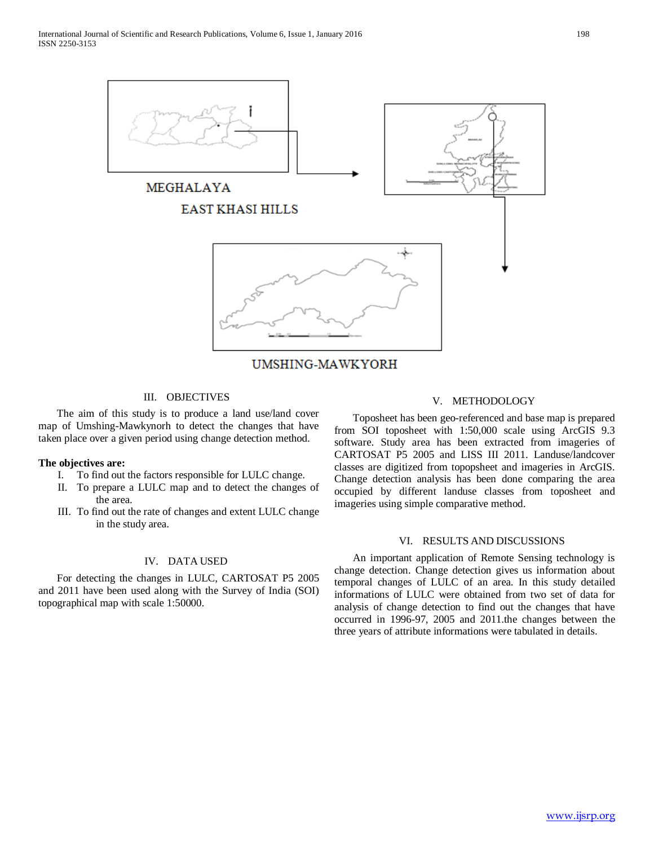

UMSHING-MAWKYORH

## III. OBJECTIVES

 The aim of this study is to produce a land use/land cover map of Umshing-Mawkynorh to detect the changes that have taken place over a given period using change detection method.

### **The objectives are:**

- I. To find out the factors responsible for LULC change.
- II. To prepare a LULC map and to detect the changes of the area.
- III. To find out the rate of changes and extent LULC change in the study area.

#### IV. DATA USED

 For detecting the changes in LULC, CARTOSAT P5 2005 and 2011 have been used along with the Survey of India (SOI) topographical map with scale 1:50000.

## V. METHODOLOGY

 Toposheet has been geo-referenced and base map is prepared from SOI toposheet with 1:50,000 scale using ArcGIS 9.3 software. Study area has been extracted from imageries of CARTOSAT P5 2005 and LISS III 2011. Landuse/landcover classes are digitized from topopsheet and imageries in ArcGIS. Change detection analysis has been done comparing the area occupied by different landuse classes from toposheet and imageries using simple comparative method.

### VI. RESULTS AND DISCUSSIONS

 An important application of Remote Sensing technology is change detection. Change detection gives us information about temporal changes of LULC of an area. In this study detailed informations of LULC were obtained from two set of data for analysis of change detection to find out the changes that have occurred in 1996-97, 2005 and 2011.the changes between the three years of attribute informations were tabulated in details.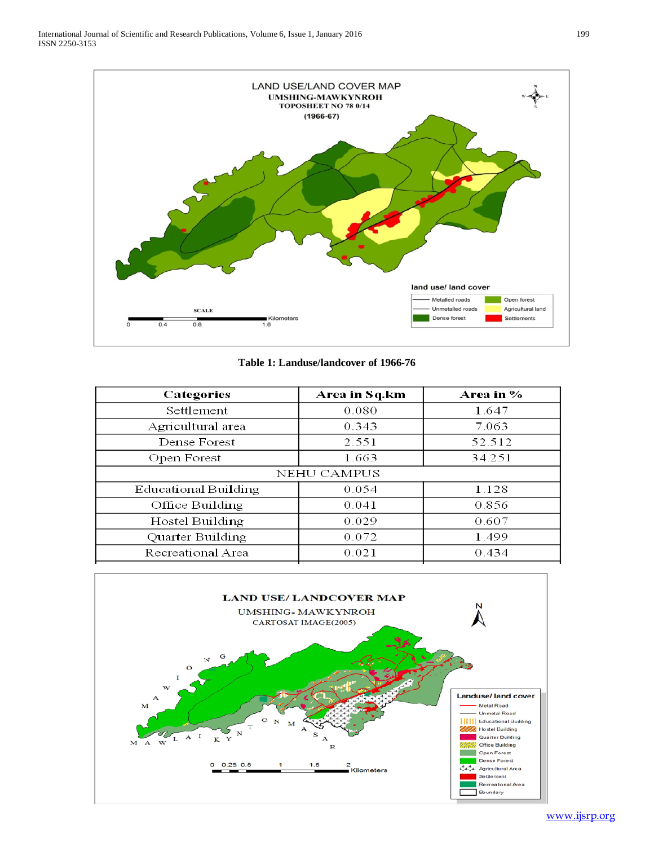

**Table 1: Landuse/landcover of 1966-76**

| Area in Sq.km | Area in % |  |  |  |  |  |
|---------------|-----------|--|--|--|--|--|
| 0.080         | 1.647     |  |  |  |  |  |
| 0.343         | 7.063     |  |  |  |  |  |
| 2.551         | 52.512    |  |  |  |  |  |
| 1.663         | 34.251    |  |  |  |  |  |
| NEHU CAMPUS   |           |  |  |  |  |  |
| 0.054         | 1.128     |  |  |  |  |  |
| 0.041         | 0.856     |  |  |  |  |  |
| 0.029         | 0.607     |  |  |  |  |  |
| 0.072         | 1.499     |  |  |  |  |  |
| 0.021         | 0.434     |  |  |  |  |  |
|               |           |  |  |  |  |  |

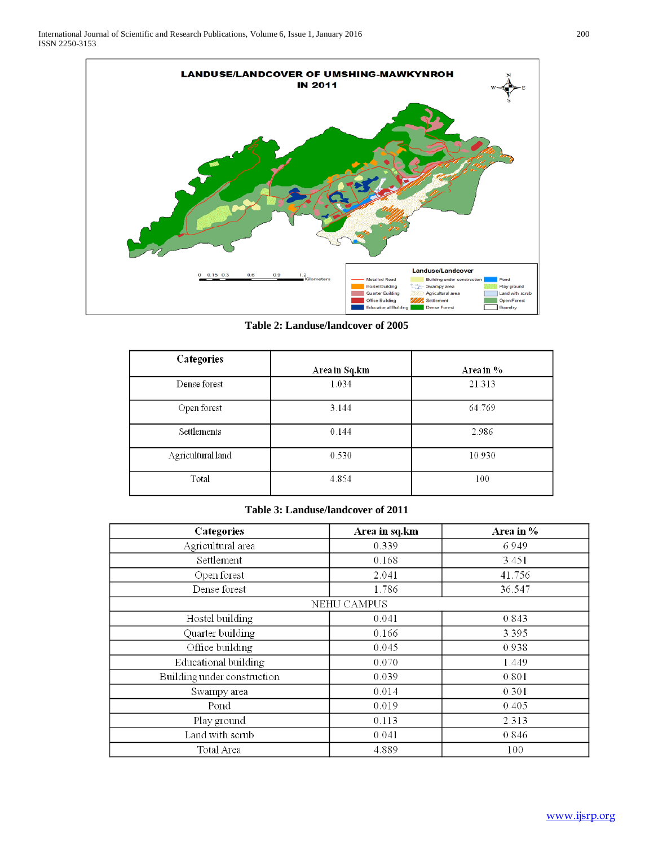

**Table 2: Landuse/landcover of 2005**

| Categories        |               |           |
|-------------------|---------------|-----------|
|                   | Area in Sq.km | Area in % |
| Dense forest      | 1.034         | 21.313    |
| Open forest       | 3.144         | 64.769    |
| Settlements       | 0.144         | 2.986     |
| Agricultural land | 0.530         | 10.930    |
| Total             | 4.854         | 100       |

# **Table 3: Landuse/landcover of 2011**

| Categories                  | Area in sq.km | Area in % |  |  |  |
|-----------------------------|---------------|-----------|--|--|--|
| Agricultural area           | 0.339         | 6.949     |  |  |  |
| Settlement                  | 0.168         | 3.451     |  |  |  |
| Open forest                 | 2.041         | 41.756    |  |  |  |
| Dense forest                | 1.786         | 36.547    |  |  |  |
| NEHU CAMPUS                 |               |           |  |  |  |
| Hostel building             | 0.041         | 0.843     |  |  |  |
| Quarter building            | 0.166         | 3.395     |  |  |  |
| Office building             | 0.045         | 0.938     |  |  |  |
| Educational building        | 0.070         | 1.449     |  |  |  |
| Building under construction | 0.039         | 0.801     |  |  |  |
| Swampy area                 | 0.014         | 0.301     |  |  |  |
| Pond                        | 0.019         | 0.405     |  |  |  |
| Play ground                 | 0.113         | 2.313     |  |  |  |
| Land with scrub             | 0.041         | 0.846     |  |  |  |
| Total Area                  | 4.889         | 100       |  |  |  |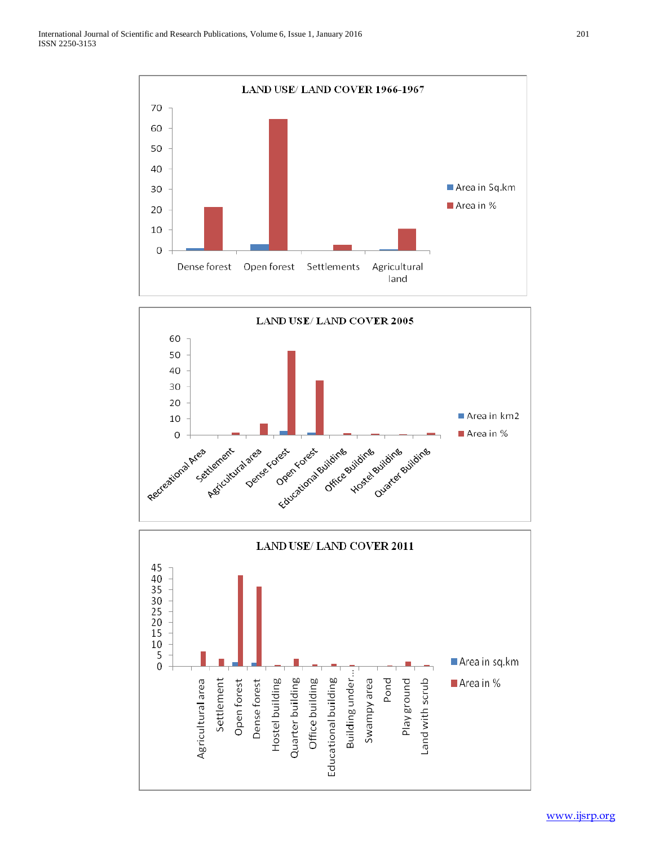